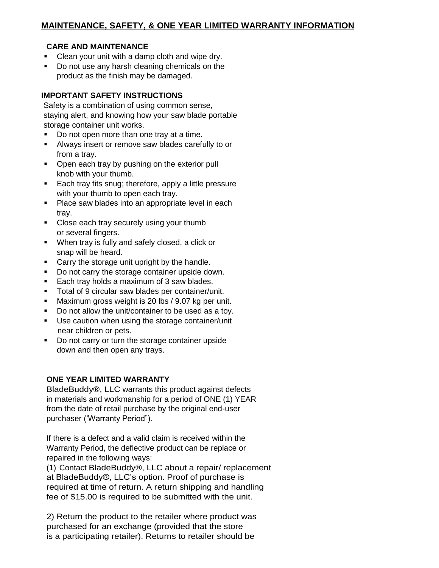## **CARE AND MAINTENANCE**

- Clean your unit with a damp cloth and wipe dry.
- Do not use any harsh cleaning chemicals on the product as the finish may be damaged.

## **IMPORTANT SAFETY INSTRUCTIONS**

Safety is a combination of using common sense, staying alert, and knowing how your saw blade portable storage container unit works.

- Do not open more than one tray at a time.
- Always insert or remove saw blades carefully to or from a tray.
- Open each tray by pushing on the exterior pull knob with your thumb.
- **Each tray fits snug; therefore, apply a little pressure** with your thumb to open each tray.
- **Place saw blades into an appropriate level in each** tray.
- Close each tray securely using your thumb or several fingers.
- When tray is fully and safely closed, a click or snap will be heard.
- Carry the storage unit upright by the handle.
- Do not carry the storage container upside down.
- Each tray holds a maximum of 3 saw blades.
- Total of 9 circular saw blades per container/unit.
- **Maximum gross weight is 20 lbs / 9.07 kg per unit.**
- Do not allow the unit/container to be used as a toy.
- Use caution when using the storage container/unit near children or pets.
- Do not carry or turn the storage container upside down and then open any trays.

## **ONE YEAR LIMITED WARRANTY**

BladeBuddy®, LLC warrants this product against defects in materials and workmanship for a period of ONE (1) YEAR from the date of retail purchase by the original end-user purchaser ('Warranty Period").

If there is a defect and a valid claim is received within the Warranty Period, the deflective product can be replace or repaired in the following ways:

(1) Contact BladeBuddy®, LLC about a repair/ replacement at BladeBuddy®, LLC's option. Proof of purchase is required at time of return. A return shipping and handling fee of \$15.00 is required to be submitted with the unit.

2) Return the product to the retailer where product was purchased for an exchange (provided that the store is a participating retailer). Returns to retailer should be